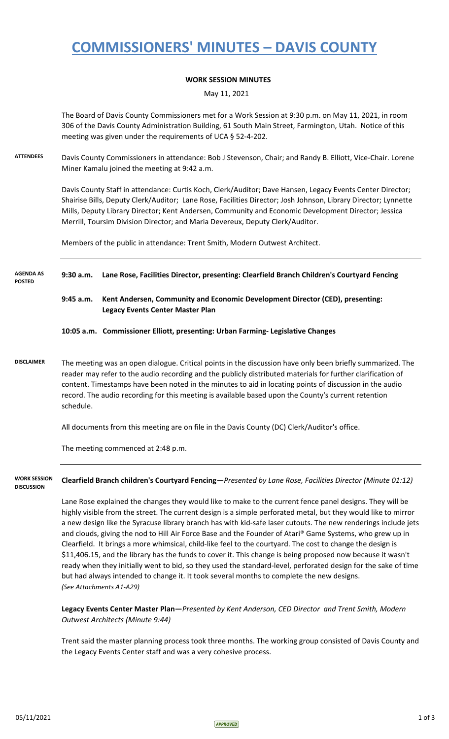### **COMMISSIONERS' MINUTES – DAVIS COUNTY**

#### **WORK SESSION MINUTES**

May 11, 2021

The Board of Davis County Commissioners met for a Work Session at 9:30 p.m. on May 11, 2021, in room 306 of the Davis County Administration Building, 61 South Main Street, Farmington, Utah. Notice of this meeting was given under the requirements of UCA § 52-4-202.

**ATTENDEES** Davis County Commissioners in attendance: Bob J Stevenson, Chair; and Randy B. Elliott, Vice-Chair. Lorene Miner Kamalu joined the meeting at 9:42 a.m.

> Davis County Staff in attendance: Curtis Koch, Clerk/Auditor; Dave Hansen, Legacy Events Center Director; Shairise Bills, Deputy Clerk/Auditor; Lane Rose, Facilities Director; Josh Johnson, Library Director; Lynnette Mills, Deputy Library Director; Kent Andersen, Community and Economic Development Director; Jessica Merrill, Toursim Division Director; and Maria Devereux, Deputy Clerk/Auditor.

Members of the public in attendance: Trent Smith, Modern Outwest Architect.

**9:30 a.m. Lane Rose, Facilities Director, presenting: Clearfield Branch Children's Courtyard Fencing AGENDA AS POSTED**

> **9:45 a.m. Kent Andersen, Community and Economic Development Director (CED), presenting: Legacy Events Center Master Plan**

**10:05 a.m. Commissioner Elliott, presenting: Urban Farming- Legislative Changes**

**DISCLAIMER** The meeting was an open dialogue. Critical points in the discussion have only been briefly summarized. The reader may refer to the audio recording and the publicly distributed materials for further clarification of content. Timestamps have been noted in the minutes to aid in locating points of discussion in the audio record. The audio recording for this meeting is available based upon the County's current retention schedule.

All documents from this meeting are on file in the Davis County (DC) Clerk/Auditor's office.

The meeting commenced at 2:48 p.m.

**WORK SESSION DISCUSSION**

**Clearfield Branch children's Courtyard Fencing**—*Presented by Lane Rose, Facilities Director (Minute 01:12)*

Lane Rose explained the changes they would like to make to the current fence panel designs. They will be highly visible from the street. The current design is a simple perforated metal, but they would like to mirror a new design like the Syracuse library branch has with kid-safe laser cutouts. The new renderings include jets and clouds, giving the nod to Hill Air Force Base and the Founder of Atari® Game Systems, who grew up in Clearfield. It brings a more whimsical, child-like feel to the courtyard. The cost to change the design is \$11,406.15, and the library has the funds to cover it. This change is being proposed now because it wasn't ready when they initially went to bid, so they used the standard-level, perforated design for the sake of time but had always intended to change it. It took several months to complete the new designs. *(See Attachments A1-A29)*

**Legacy Events Center Master Plan—***Presented by Kent Anderson, CED Director and Trent Smith, Modern Outwest Architects (Minute 9:44)*

Trent said the master planning process took three months. The working group consisted of Davis County and the Legacy Events Center staff and was a very cohesive process.

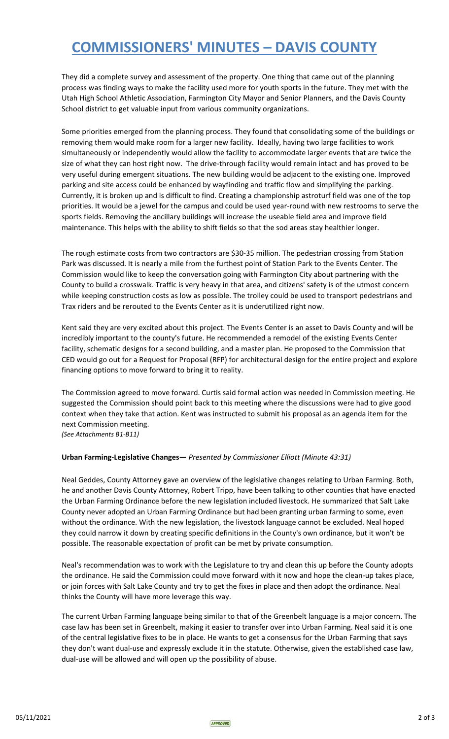# **COMMISSIONERS' MINUTES – DAVIS COUNTY**

They did a complete survey and assessment of the property. One thing that came out of the planning process was finding ways to make the facility used more for youth sports in the future. They met with the Utah High School Athletic Association, Farmington City Mayor and Senior Planners, and the Davis County School district to get valuable input from various community organizations.

Some priorities emerged from the planning process. They found that consolidating some of the buildings or removing them would make room for a larger new facility. Ideally, having two large facilities to work simultaneously or independently would allow the facility to accommodate larger events that are twice the size of what they can host right now. The drive-through facility would remain intact and has proved to be very useful during emergent situations. The new building would be adjacent to the existing one. Improved parking and site access could be enhanced by wayfinding and traffic flow and simplifying the parking. Currently, it is broken up and is difficult to find. Creating a championship astroturf field was one of the top priorities. It would be a jewel for the campus and could be used year-round with new restrooms to serve the sports fields. Removing the ancillary buildings will increase the useable field area and improve field maintenance. This helps with the ability to shift fields so that the sod areas stay healthier longer.

The rough estimate costs from two contractors are \$30-35 million. The pedestrian crossing from Station Park was discussed. It is nearly a mile from the furthest point of Station Park to the Events Center. The Commission would like to keep the conversation going with Farmington City about partnering with the County to build a crosswalk. Traffic is very heavy in that area, and citizens' safety is of the utmost concern while keeping construction costs as low as possible. The trolley could be used to transport pedestrians and Trax riders and be rerouted to the Events Center as it is underutilized right now.

Kent said they are very excited about this project. The Events Center is an asset to Davis County and will be incredibly important to the county's future. He recommended a remodel of the existing Events Center facility, schematic designs for a second building, and a master plan. He proposed to the Commission that CED would go out for a Request for Proposal (RFP) for architectural design for the entire project and explore financing options to move forward to bring it to reality.

The Commission agreed to move forward. Curtis said formal action was needed in Commission meeting. He suggested the Commission should point back to this meeting where the discussions were had to give good context when they take that action. Kent was instructed to submit his proposal as an agenda item for the next Commission meeting.

*(See Attachments B1-B11)*

#### **Urban Farming-Legislative Changes—** *Presented by Commissioner Elliott (Minute 43:31)*

Neal Geddes, County Attorney gave an overview of the legislative changes relating to Urban Farming. Both, he and another Davis County Attorney, Robert Tripp, have been talking to other counties that have enacted the Urban Farming Ordinance before the new legislation included livestock. He summarized that Salt Lake County never adopted an Urban Farming Ordinance but had been granting urban farming to some, even without the ordinance. With the new legislation, the livestock language cannot be excluded. Neal hoped they could narrow it down by creating specific definitions in the County's own ordinance, but it won't be possible. The reasonable expectation of profit can be met by private consumption.

Neal's recommendation was to work with the Legislature to try and clean this up before the County adopts the ordinance. He said the Commission could move forward with it now and hope the clean-up takes place, or join forces with Salt Lake County and try to get the fixes in place and then adopt the ordinance. Neal thinks the County will have more leverage this way.

The current Urban Farming language being similar to that of the Greenbelt language is a major concern. The case law has been set in Greenbelt, making it easier to transfer over into Urban Farming. Neal said it is one of the central legislative fixes to be in place. He wants to get a consensus for the Urban Farming that says they don't want dual-use and expressly exclude it in the statute. Otherwise, given the established case law, dual-use will be allowed and will open up the possibility of abuse.